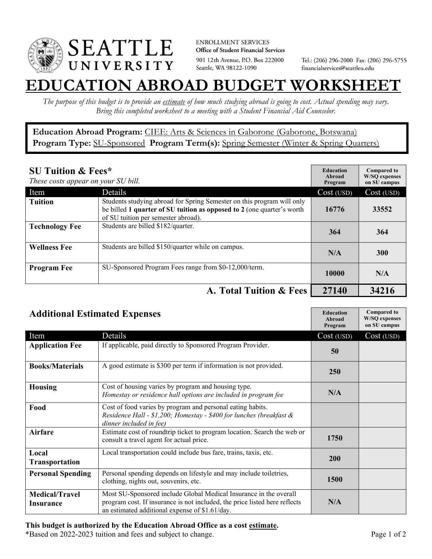

**ENROLLMENT SERVICES** Office of Student Financial Services 901 12th Avenue, P.O. Box 222000 Seattle, WA 98122-1090

Tel.: (206) 296-2000 Fax: (206) 296-5755 financialservices@seattleu.edu

## **EATION ABROAD BUDGET WORKSHEE**

*The purpose of this budget is to provide an estimate of how much studying abroad is going to cost. Actual spending may vary. Bring this completed worksheet to a meeting with a Student Financial Aid Counselor.* 

**Education Abroad Program:** CIEE: Arts & Sciences in Gaborone (Gaborone, Botswana) Program Type: SU-Sponsored Program Term(s): Spring Semester (Winter & Spring Quarters)

| <b>SU Tuition &amp; Fees*</b><br>These costs appear on your SU bill. |                                                                                                                                                                                         | <b>Education</b><br>Abroad<br>Program | <b>Compared to</b><br><b>W/SO</b> expenses<br>on SU campus |
|----------------------------------------------------------------------|-----------------------------------------------------------------------------------------------------------------------------------------------------------------------------------------|---------------------------------------|------------------------------------------------------------|
| Item                                                                 | Details                                                                                                                                                                                 | Cost (USD)                            | Cost (USD)                                                 |
| <b>Tuition</b>                                                       | Students studying abroad for Spring Semester on this program will only<br>be billed 1 quarter of SU tuition as opposed to 2 (one quarter's worth<br>of SU tuition per semester abroad). | 16776                                 | 33552                                                      |
| <b>Technology Fee</b>                                                | Students are billed \$182/quarter.                                                                                                                                                      | 364                                   | 364                                                        |
| <b>Wellness Fee</b>                                                  | Students are billed \$150/quarter while on campus.                                                                                                                                      | N/A                                   | <b>300</b>                                                 |
| <b>Program Fee</b>                                                   | SU-Sponsored Program Fees range from \$0-12,000/term.                                                                                                                                   | 10000                                 | N/A                                                        |
|                                                                      | A. Total Tuition & Fees                                                                                                                                                                 | 27140                                 | 34216                                                      |

| <b>Additional Estimated Expenses</b> |                                                                                                                                                                                                   | <b>Education</b><br>Abroad<br>Program | <b>Compared to</b><br><b>W/SQ</b> expenses<br>on SU campus |
|--------------------------------------|---------------------------------------------------------------------------------------------------------------------------------------------------------------------------------------------------|---------------------------------------|------------------------------------------------------------|
| Item                                 | Details                                                                                                                                                                                           | Cost (USD)                            | Cost (USD)                                                 |
| <b>Application Fee</b>               | If applicable, paid directly to Sponsored Program Provider.                                                                                                                                       | 50                                    |                                                            |
| <b>Books/Materials</b>               | A good estimate is \$300 per term if information is not provided.                                                                                                                                 | 250                                   |                                                            |
| Housing                              | Cost of housing varies by program and housing type.<br>Homestay or residence hall options are included in program fee                                                                             | N/A                                   |                                                            |
| Food                                 | Cost of food varies by program and personal eating habits.<br>Residence Hall - \$1,200; Homestay - \$400 for lunches (breakfast &<br>dinner included in fee)                                      |                                       |                                                            |
| <b>Airfare</b>                       | Estimate cost of roundtrip ticket to program location. Search the web or<br>consult a travel agent for actual price.                                                                              | 1750                                  |                                                            |
| Local<br><b>Transportation</b>       | Local transportation could include bus fare, trains, taxis, etc.                                                                                                                                  | <b>200</b>                            |                                                            |
| <b>Personal Spending</b>             | Personal spending depends on lifestyle and may include toiletries,<br>clothing, nights out, souvenirs, etc.                                                                                       | 1500                                  |                                                            |
| <b>Medical/Travel</b><br>Insurance   | Most SU-Sponsored include Global Medical Insurance in the overall<br>program cost. If insurance is not included, the price listed here reflects<br>an estimated additional expense of \$1.61/day. | N/A                                   |                                                            |

## **This budget is authorized by the Education Abroad Office as a cost estimate.**

\*Based on 2022-2023 tuition and fees and subject to change. Page 1 of 2